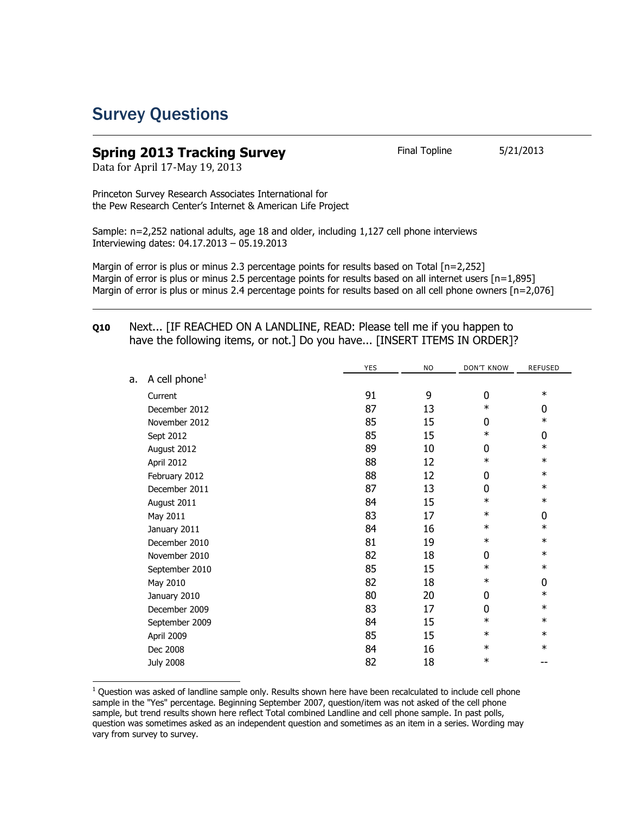## Survey Questions

## **Spring 2013 Tracking Survey** Final Topline 5/21/2013

Data for April 17-May 19, 2013

 $\overline{a}$ 

Princeton Survey Research Associates International for the Pew Research Center's Internet & American Life Project

Sample: n=2,252 national adults, age 18 and older, including 1,127 cell phone interviews Interviewing dates: 04.17.2013 – 05.19.2013

Margin of error is plus or minus 2.3 percentage points for results based on Total [n=2,252] Margin of error is plus or minus 2.5 percentage points for results based on all internet users [n=1,895] Margin of error is plus or minus 2.4 percentage points for results based on all cell phone owners [n=2,076]

## **Q10** Next... [IF REACHED ON A LANDLINE, READ: Please tell me if you happen to have the following items, or not.] Do you have... [INSERT ITEMS IN ORDER]?

|    |                           | <b>YES</b> | <b>NO</b> | <b>DON'T KNOW</b> | <b>REFUSED</b> |
|----|---------------------------|------------|-----------|-------------------|----------------|
| a. | A cell phone <sup>1</sup> |            |           |                   |                |
|    | Current                   | 91         | 9         | 0                 | $\ast$         |
|    | December 2012             | 87         | 13        | $\ast$            | 0              |
|    | November 2012             | 85         | 15        | 0                 | $\ast$         |
|    | Sept 2012                 | 85         | 15        | $\ast$            | 0              |
|    | August 2012               | 89         | 10        | 0                 | $\ast$         |
|    | April 2012                | 88         | 12        | $\ast$            | $\ast$         |
|    | February 2012             | 88         | 12        | 0                 | $\ast$         |
|    | December 2011             | 87         | 13        | 0                 | $\ast$         |
|    | August 2011               | 84         | 15        | $\ast$            | $\ast$         |
|    | May 2011                  | 83         | 17        | $\ast$            | 0              |
|    | January 2011              | 84         | 16        | $\ast$            | $\ast$         |
|    | December 2010             | 81         | 19        | $\ast$            | $\ast$         |
|    | November 2010             | 82         | 18        | 0                 | $\ast$         |
|    | September 2010            | 85         | 15        | $\ast$            | $\ast$         |
|    | May 2010                  | 82         | 18        | $\ast$            | 0              |
|    | January 2010              | 80         | 20        | 0                 | $\ast$         |
|    | December 2009             | 83         | 17        | $\mathbf{0}$      | $\ast$         |
|    | September 2009            | 84         | 15        | $\ast$            | $\ast$         |
|    | April 2009                | 85         | 15        | $\ast$            | $\ast$         |
|    | Dec 2008                  | 84         | 16        | $\ast$            | $\ast$         |
|    | <b>July 2008</b>          | 82         | 18        | $\ast$            | --             |

 $1$  Question was asked of landline sample only. Results shown here have been recalculated to include cell phone sample in the "Yes" percentage. Beginning September 2007, question/item was not asked of the cell phone sample, but trend results shown here reflect Total combined Landline and cell phone sample. In past polls, question was sometimes asked as an independent question and sometimes as an item in a series. Wording may vary from survey to survey.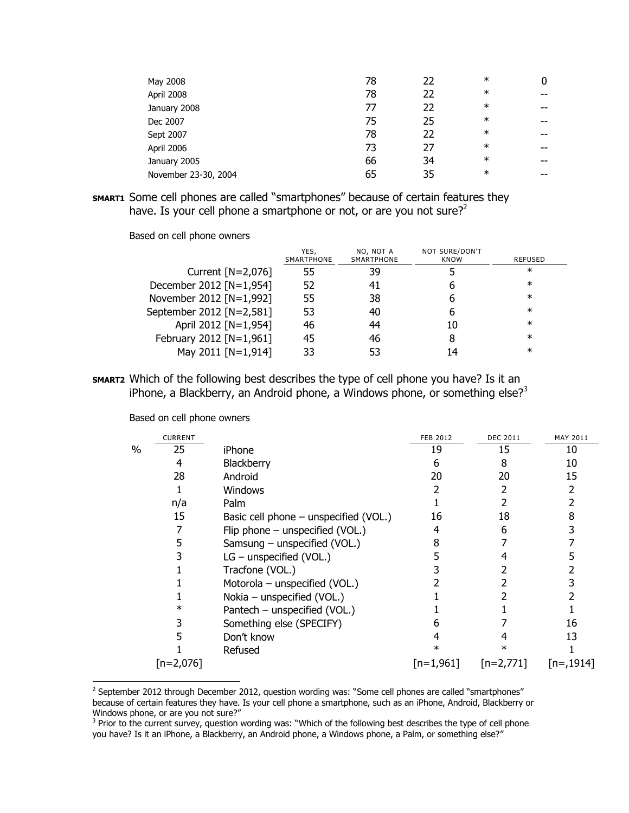| May 2008             | 78 | 22 | $\ast$ |    |
|----------------------|----|----|--------|----|
| April 2008           | 78 | 22 | $\ast$ | -- |
| January 2008         | 77 | 22 | $\ast$ | -- |
| Dec 2007             | 75 | 25 | $\ast$ | -- |
| Sept 2007            | 78 | 22 | $\ast$ | -- |
| April 2006           | 73 | 27 | $\ast$ | -- |
| January 2005         | 66 | 34 | $\ast$ | -- |
| November 23-30, 2004 | 65 | 35 | $\ast$ | -- |

**SMART1** Some cell phones are called "smartphones" because of certain features they have. Is your cell phone a smartphone or not, or are you not sure? $2^2$ 

Based on cell phone owners

|                          | YES,<br>SMARTPHONE | NO, NOT A<br>SMARTPHONE | NOT SURE/DON'T<br>KNOW | REFUSED |
|--------------------------|--------------------|-------------------------|------------------------|---------|
| Current $[N=2,076]$      | 55                 | 39                      |                        | $\ast$  |
| December 2012 [N=1,954]  | 52                 | 41                      | h                      | $^\ast$ |
| November 2012 [N=1,992]  | 55                 | 38                      | h                      | $\ast$  |
| September 2012 [N=2,581] | 53                 | 40                      | 6                      | $\ast$  |
| April 2012 [N=1,954]     | 46                 | 44                      | 10                     | $\ast$  |
| February 2012 [N=1,961]  | 45                 | 46                      | 8                      | $\ast$  |
| May 2011 [N=1,914]       | 33                 | 53                      | 14                     | $\ast$  |

**SMART2** Which of the following best describes the type of cell phone you have? Is it an iPhone, a Blackberry, an Android phone, a Windows phone, or something else?<sup>3</sup>

|      | <b>CURRENT</b> |                                         | <b>FEB 2012</b> | <b>DEC 2011</b> | MAY 2011    |
|------|----------------|-----------------------------------------|-----------------|-----------------|-------------|
| $\%$ | 25             | iPhone                                  | 19              | 15              | 10          |
|      | 4              | Blackberry                              | h               | 8               | 10          |
|      | 28             | Android                                 | 20              | 20              | 15          |
|      |                | <b>Windows</b>                          |                 |                 |             |
|      | n/a            | Palm                                    |                 |                 |             |
|      | 15             | Basic cell phone $-$ unspecified (VOL.) | 16              | 18              |             |
|      |                | Flip phone - unspecified (VOL.)         |                 |                 |             |
|      | 5              | Samsung - unspecified (VOL.)            |                 |                 |             |
|      |                | $LG$ – unspecified (VOL.)               |                 |                 |             |
|      |                | Tracfone (VOL.)                         |                 |                 |             |
|      |                | Motorola - unspecified (VOL.)           |                 |                 |             |
|      |                | Nokia - unspecified (VOL.)              |                 |                 |             |
|      | $\ast$         | Pantech - unspecified (VOL.)            |                 |                 |             |
|      |                | Something else (SPECIFY)                |                 |                 | 16          |
|      |                | Don't know                              |                 |                 | 13          |
|      |                | Refused                                 |                 |                 |             |
|      | $[n=2,076]$    |                                         | $[n=1,961]$     | $[n=2,771]$     | $[n=,1914]$ |

Based on cell phone owners

 $\overline{a}$ 

<sup>&</sup>lt;sup>2</sup> September 2012 through December 2012, question wording was: "Some cell phones are called "smartphones" because of certain features they have. Is your cell phone a smartphone, such as an iPhone, Android, Blackberry or Windows phone, or are you not sure?"

<sup>&</sup>lt;sup>3</sup> Prior to the current survey, question wording was: "Which of the following best describes the type of cell phone you have? Is it an iPhone, a Blackberry, an Android phone, a Windows phone, a Palm, or something else?"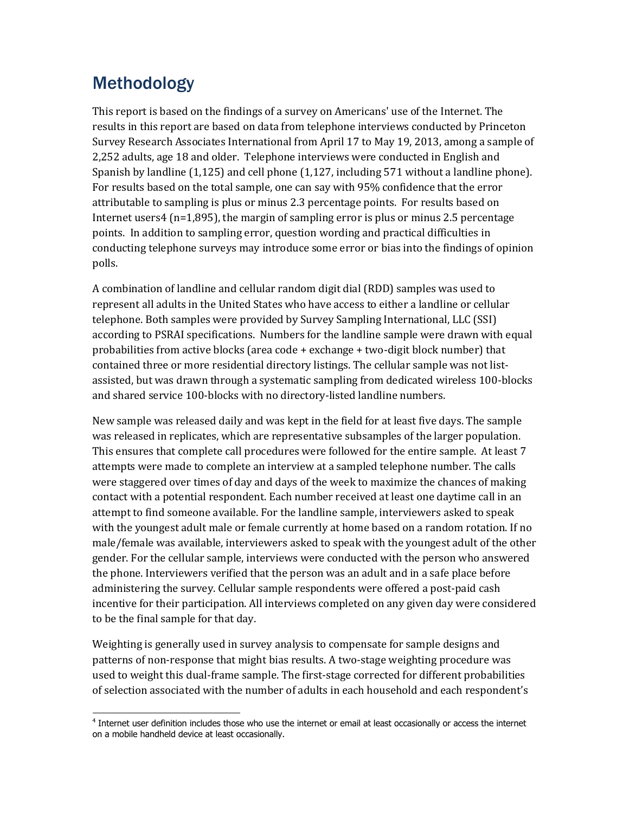## Methodology

This report is based on the findings of a survey on Americans' use of the Internet. The results in this report are based on data from telephone interviews conducted by Princeton Survey Research Associates International from April 17 to May 19, 2013, among a sample of 2,252 adults, age 18 and older. Telephone interviews were conducted in English and Spanish by landline (1,125) and cell phone (1,127, including 571 without a landline phone). For results based on the total sample, one can say with 95% confidence that the error attributable to sampling is plus or minus 2.3 percentage points. For results based on Internet users4 (n=1,895), the margin of sampling error is plus or minus 2.5 percentage points. In addition to sampling error, question wording and practical difficulties in conducting telephone surveys may introduce some error or bias into the findings of opinion polls.

A combination of landline and cellular random digit dial (RDD) samples was used to represent all adults in the United States who have access to either a landline or cellular telephone. Both samples were provided by Survey Sampling International, LLC (SSI) according to PSRAI specifications. Numbers for the landline sample were drawn with equal probabilities from active blocks (area code + exchange + two-digit block number) that contained three or more residential directory listings. The cellular sample was not listassisted, but was drawn through a systematic sampling from dedicated wireless 100-blocks and shared service 100-blocks with no directory-listed landline numbers.

New sample was released daily and was kept in the field for at least five days. The sample was released in replicates, which are representative subsamples of the larger population. This ensures that complete call procedures were followed for the entire sample. At least 7 attempts were made to complete an interview at a sampled telephone number. The calls were staggered over times of day and days of the week to maximize the chances of making contact with a potential respondent. Each number received at least one daytime call in an attempt to find someone available. For the landline sample, interviewers asked to speak with the youngest adult male or female currently at home based on a random rotation. If no male/female was available, interviewers asked to speak with the youngest adult of the other gender. For the cellular sample, interviews were conducted with the person who answered the phone. Interviewers verified that the person was an adult and in a safe place before administering the survey. Cellular sample respondents were offered a post-paid cash incentive for their participation. All interviews completed on any given day were considered to be the final sample for that day.

Weighting is generally used in survey analysis to compensate for sample designs and patterns of non-response that might bias results. A two-stage weighting procedure was used to weight this dual-frame sample. The first-stage corrected for different probabilities of selection associated with the number of adults in each household and each respondent's

 $\overline{\phantom{0}}$ <sup>4</sup> Internet user definition includes those who use the internet or email at least occasionally or access the internet on a mobile handheld device at least occasionally.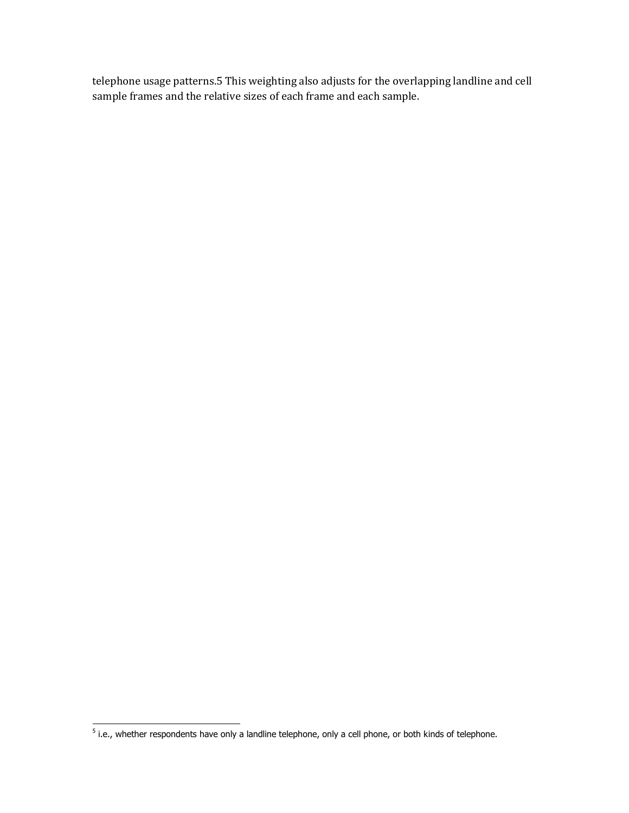telephone usage patterns.5 This weighting also adjusts for the overlapping landline and cell sample frames and the relative sizes of each frame and each sample.

 5 i.e., whether respondents have only a landline telephone, only a cell phone, or both kinds of telephone.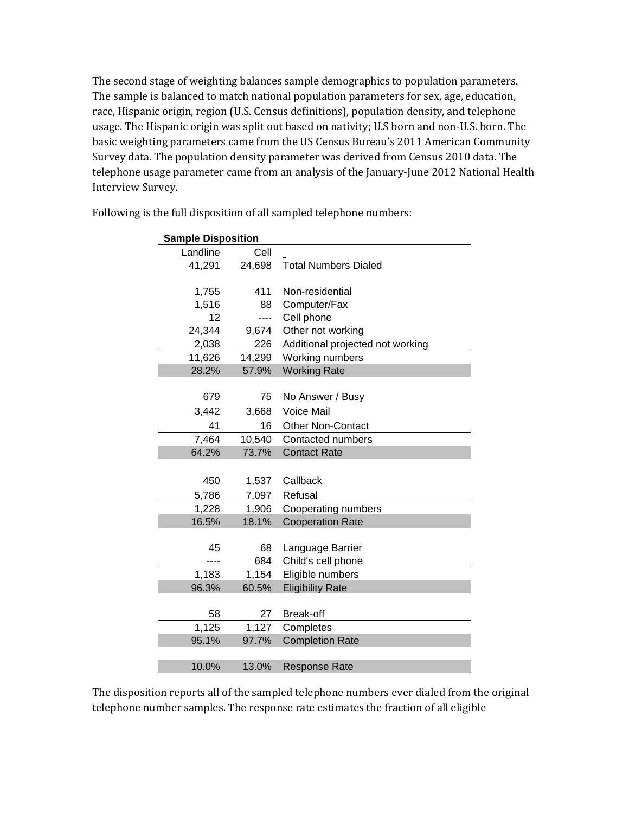The second stage of weighting balances sample demographics to population parameters. The sample is balanced to match national population parameters for sex, age, education, race, Hispanic origin, region (U.S. Census definitions), population density, and telephone usage. The Hispanic origin was split out based on nativity; U.S born and non-U.S. born. The basic weighting parameters came from the US Census Bureau's 2011 American Community Survey data. The population density parameter was derived from Census 2010 data. The telephone usage parameter came from an analysis of the January-June 2012 National Health Interview Survey.

| <b>Sample Disposition</b> |        |                                  |  |
|---------------------------|--------|----------------------------------|--|
| Landline                  | Cell   |                                  |  |
| 41,291                    | 24,698 | <b>Total Numbers Dialed</b>      |  |
|                           |        |                                  |  |
| 1,755                     | 411    | Non-residential                  |  |
| 1,516                     | 88     | Computer/Fax                     |  |
| 12                        | ----   | Cell phone                       |  |
| 24,344                    | 9,674  | Other not working                |  |
| 2,038                     | 226    | Additional projected not working |  |
| 11,626                    | 14,299 | Working numbers                  |  |
| 28.2%                     | 57.9%  | <b>Working Rate</b>              |  |
|                           |        |                                  |  |
| 679                       | 75     | No Answer / Busy                 |  |
| 3,442                     | 3,668  | Voice Mail                       |  |
| 41                        | 16     | <b>Other Non-Contact</b>         |  |
| 7,464                     | 10,540 | Contacted numbers                |  |
| 64.2%                     | 73.7%  | <b>Contact Rate</b>              |  |
|                           |        |                                  |  |
| 450                       | 1,537  | Callback                         |  |
| 5,786                     | 7,097  | Refusal                          |  |
| 1,228                     | 1,906  | Cooperating numbers              |  |
| 16.5%                     | 18.1%  | <b>Cooperation Rate</b>          |  |
|                           |        |                                  |  |
| 45                        | 68     | Language Barrier                 |  |
| ----                      | 684    | Child's cell phone               |  |
| 1,183                     | 1,154  | Eligible numbers                 |  |
| 96.3%                     | 60.5%  | <b>Eligibility Rate</b>          |  |
|                           |        |                                  |  |
| 58                        | 27     | Break-off                        |  |
| 1,125                     | 1,127  | Completes                        |  |
| 95.1%                     | 97.7%  | <b>Completion Rate</b>           |  |
|                           |        |                                  |  |
| 10.0%                     | 13.0%  | <b>Response Rate</b>             |  |

Following is the full disposition of all sampled telephone numbers:

The disposition reports all of the sampled telephone numbers ever dialed from the original telephone number samples. The response rate estimates the fraction of all eligible